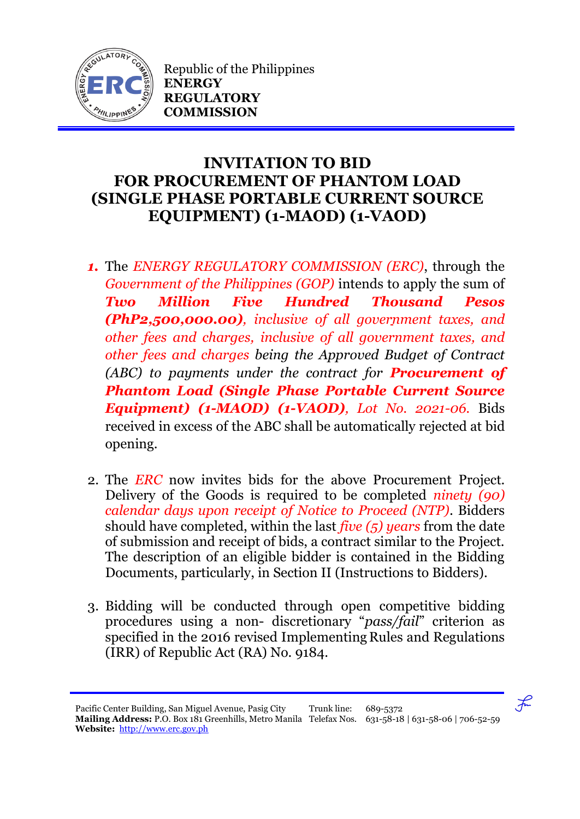

Republic of the Philippines **ENERGY REGULATORY COMMISSION**

## **INVITATION TO BID FOR PROCUREMENT OF PHANTOM LOAD (SINGLE PHASE PORTABLE CURRENT SOURCE EQUIPMENT) (1-MAOD) (1-VAOD)**

- *1.* The *ENERGY REGULATORY COMMISSION (ERC)*, through the *Government of the Philippines (GOP)* intends to apply the sum of *Two Million Five Hundred Thousand Pesos (PhP2,500,000.00), inclusive of all government taxes, and other fees and charges, inclusive of all government taxes, and other fees and charges being the Approved Budget of Contract (ABC) to payments under the contract for Procurement of Phantom Load (Single Phase Portable Current Source Equipment) (1-MAOD) (1-VAOD), Lot No. 2021-06.* Bids received in excess of the ABC shall be automatically rejected at bid opening.
- 2. The *ERC* now invites bids for the above Procurement Project. Delivery of the Goods is required to be completed *ninety (90) calendar days upon receipt of Notice to Proceed (NTP).* Bidders should have completed, within the last *five (5) years* from the date of submission and receipt of bids, a contract similar to the Project. The description of an eligible bidder is contained in the Bidding Documents, particularly, in Section II (Instructions to Bidders).
- 3. Bidding will be conducted through open competitive bidding procedures using a non- discretionary "*pass/fail*" criterion as specified in the 2016 revised Implementing Rules and Regulations (IRR) of Republic Act (RA) No. 9184.

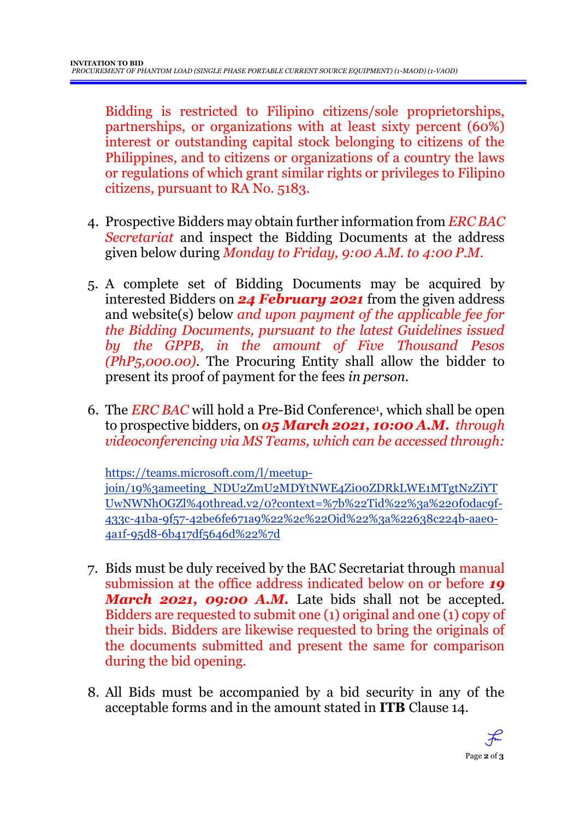Bidding is restricted to Filipino citizens/sole proprietorships, partnerships, or organizations with at least sixty percent (60%) interest or outstanding capital stock belonging to citizens of the Philippines, and to citizens or organizations of a country the laws or regulations of which grant similar rights or privileges to Filipino citizens, pursuant to RA No. 5183.

- 4. Prospective Bidders may obtain further information from *ERC BAC Secretariat* and inspect the Bidding Documents at the address given below during *Monday to Friday, 9:00 A.M. to 4:00 P.M*.
- 5. A complete set of Bidding Documents may be acquired by interested Bidders on *24 February 2021* from the given address and website(s) below *and upon payment of the applicable fee for the Bidding Documents, pursuant to the latest Guidelines issued by the GPPB, in the amount of Five Thousand Pesos (PhP5,000.00)*. The Procuring Entity shall allow the bidder to present its proof of payment for the fees *in person.*
- 6. The *ERC BAC* will hold a Pre-Bid Conference<sup>1</sup> , which shall be open to prospective bidders, on *05 March 2021, 10:00 A.M. through videoconferencing via MS Teams, which can be accessed through:*

https://teams.microsoft.com/l/meetup-

join/19%3ameeting\_NDU2ZmU2MDYtNWE4Zi00ZDRkLWE1MTgtNzZiYT UwNWNhOGZl%40thread.v2/0?context=%7b%22Tid%22%3a%220f0dac9f-433c-41ba-9f57-42be6fe671a9%22%2c%22Oid%22%3a%22638c224b-aae0- 4a1f-95d8-6b417df5646d%22%7d

- 7. Bids must be duly received by the BAC Secretariat through manual submission at the office address indicated below on or before *19 March 2021, 09:00 A.M.* Late bids shall not be accepted. Bidders are requested to submit one (1) original and one (1) copy of their bids. Bidders are likewise requested to bring the originals of the documents submitted and present the same for comparison during the bid opening.
- 8. All Bids must be accompanied by a bid security in any of the acceptable forms and in the amount stated in **ITB** Clause 14.